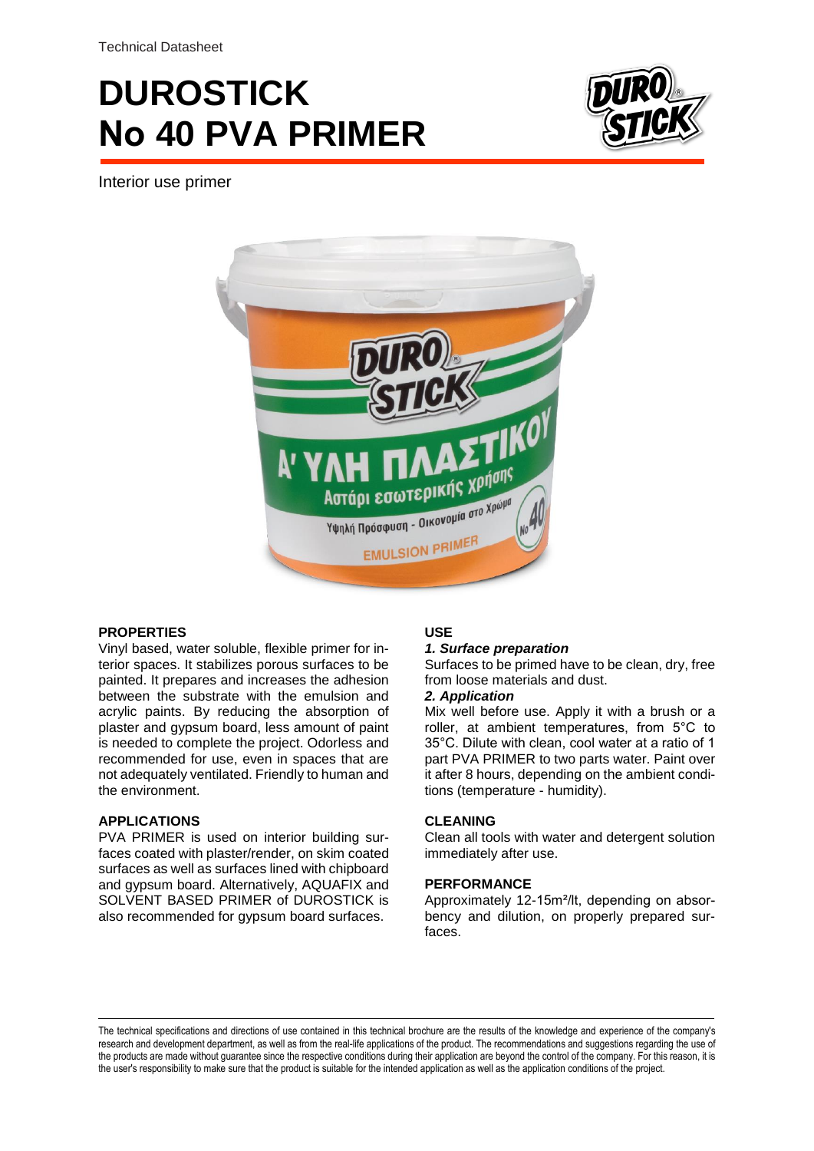Technical Datasheet

# **DUROSTICK Νο 40 PVA PRIMER**



Interior use primer



# **PROPERTIES**

Vinyl based, water soluble, flexible primer for interior spaces. It stabilizes porous surfaces to be painted. It prepares and increases the adhesion between the substrate with the emulsion and acrylic paints. By reducing the absorption of plaster and gypsum board, less amount of paint is needed to complete the project. Odorless and recommended for use, even in spaces that are not adequately ventilated. Friendly to human and the environment.

### **APPLICATIONS**

PVA PRIMER is used on interior building surfaces coated with plaster/render, on skim coated surfaces as well as surfaces lined with chipboard and gypsum board. Alternatively, AQUAFIX and SOLVENT BASED PRIMER of DUROSTICK is also recommended for gypsum board surfaces.

# **USE**

### *1. Surface preparation*

Surfaces to be primed have to be clean, dry, free from loose materials and dust.

### *2. Application*

Mix well before use. Apply it with a brush or a roller, at ambient temperatures, from 5°C to 35°C. Dilute with clean, cool water at a ratio of 1 part PVA PRIMER to two parts water. Paint over it after 8 hours, depending on the ambient conditions (temperature - humidity).

### **CLEANING**

Clean all tools with water and detergent solution immediately after use.

# **PERFORMANCE**

Approximately 12-15m²/lt, depending on absorbency and dilution, on properly prepared surfaces.

The technical specifications and directions of use contained in this technical brochure are the results of the knowledge and experience of the company's research and development department, as well as from the real-life applications of the product. The recommendations and suggestions regarding the use of the products are made without guarantee since the respective conditions during their application are beyond the control of the company. For this reason, it is the user's responsibility to make sure that the product is suitable for the intended application as well as the application conditions of the project.